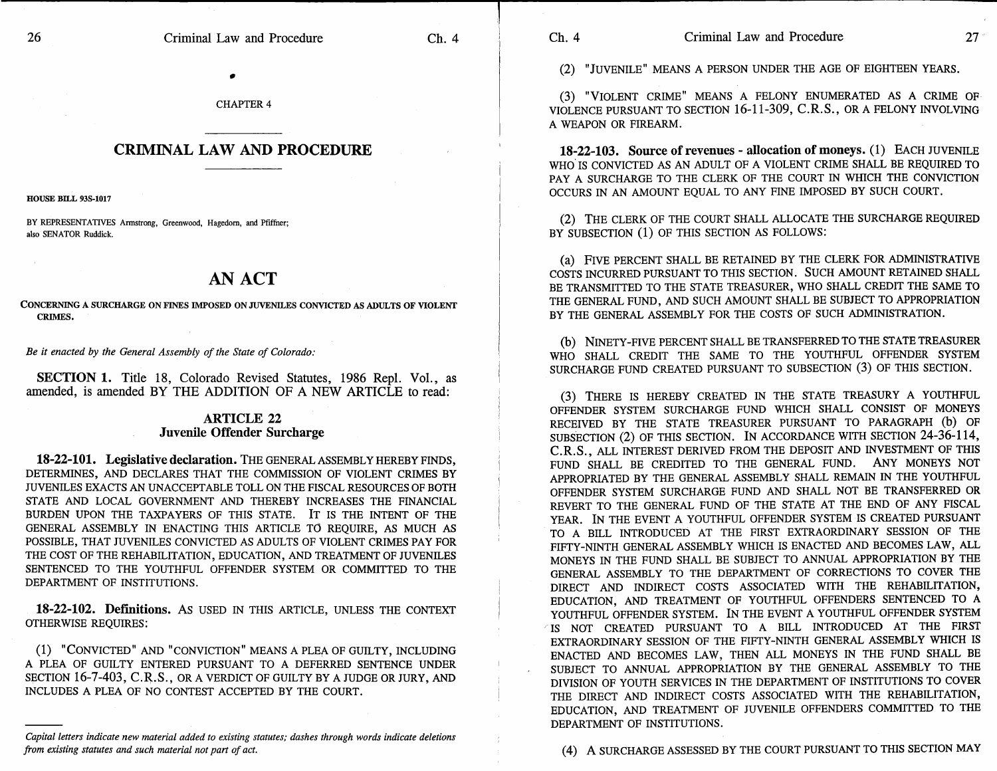## **CRIMINAL LAW AND PROCEDURE**

HOUSE BILL 93S-1017

BY REPRESENTATIVES Armstrong, Greenwood, Hagedorn, and Pfiffner; also SENATOR Ruddick.

## **AN ACT**

CONCERNING A SURCHARGE ON FINES IMPOSED ON JUVENILES CONVICTED AS ADULTS OF VIOLENT CRIMES.

*Be it enacted by the General Assembly of the State of Colorado:* 

**SECTION 1.** Title 18, Colorado Revised Statutes, 1986 Repl. Vol., as amended, is amended BY THE ADDITION OF A NEW ARTICLE to read:

## **ARTICLE 22 Juvenile Offender Surcharge**

**18-22-101. Legislative declaration.** THE GENERAL ASSEMBLY HEREBY FINDS, DETERMINES, AND DECLARES THAT THE COMMISSION OF VIOLENT CRIMES BY JUVENILES EXACTS AN UNACCEPTABLE TOLL ON THE FISCAL RESOURCES OF BOTH STATE AND LOCAL GOVERNMENT AND THEREBY INCREASES THE FINANCIAL BURDEN UPON THE TAXPAYERS OF THIS STATE. IT IS THE INTENT OF THE GENERAL ASSEMBLY IN ENACTING THIS ARTICLE TO REQUIRE, AS MUCH AS POSSIBLE, THAT JUVENILES CONVICTED AS ADULTS OF VIOLENT CRIMES PAY FOR THE COST OF THE REHABILITATION, EDUCATION, AND TREATMENT OF JUVENILES SENTENCED TO THE YOUTHFUL OFFENDER SYSTEM OR COMMITTED TO THE DEPARTMENT OF INSTITUTIONS.

**18-22-102. Definitions.** AS USED IN THIS ARTICLE, UNLESS THE CONTEXT OTHERWISE REQUIRES:

(1) "CONVICTED" AND "CONVICTION" MEANS A PLEA OF GUILTY, INCLUDING A PLEA OF GUILTY ENTERED PURSUANT TO A DEFERRED SENTENCE UNDER SECTION 16-7-403, C.R.S., OR A VERDICT OF GUILTY BY A JUDGE OR JURY, AND INCLUDES A PLEA OF NO CONTEST ACCEPTED BY THE COURT.

*Capital letters indicate new material added to existing statutes; dashes through words indicate deletions from existing statutes and such material not part of act.* 

(2) "JUVENILE" MEANS A PERSON UNDER THE AGE OF EIGHTEEN YEARS.

(3) "VIOLENT CRIME" MEANS A FELONY ENUMERATED AS A CRIME OF VIOLENCE PURSUANT TO SECTION 16-11-309, C.R.S., OR A FELONY INVOLVING A WEAPON OR FIREARM.

**18-22-103. Source of revenues - allocation of moneys.** (1) EACH JUVENILE WHO IS CONVICTED AS AN ADULT OF A VIOLENT CRIME SHALL BE REQUIRED TO PAY A SURCHARGE TO THE CLERK OF THE COURT IN WHICH THE CONVICTION OCCURS IN AN AMOUNT EQUAL TO ANY FINE IMPOSED BY SUCH COURT.

(2) THE CLERK OF THE COURT SHALL ALLOCATE THE SURCHARGE REQUIRED BY SUBSECTION (1) OF THIS SECTION AS FOLLOWS:

(a) FIVE PERCENT SHALL BE RETAINED BY THE CLERK FOR ADMINISTRATIVE COSTS INCURRED PURSUANT TO THIS SECTION. SUCH AMOUNT RETAINED SHALL BE TRANSMITTED TO THE STATE TREASURER, WHO SHALL CREDIT THE SAME TO THE GENERAL FUND, AND SUCH AMOUNT SHALL BE SUBJECT TO APPROPRIATION BY THE GENERAL ASSEMBLY FOR THE COSTS OF SUCH ADMINISTRATION.

(b) NINETY-FIVE PERCENT SHALL BE TRANSFERRED TO THE STATE TREASURER WHO SHALL CREDIT THE SAME TO THE YOUTHFUL OFFENDER SYSTEM SURCHARGE FUND CREATED PURSUANT TO SUBSECTION (3) OF THIS SECTION.

(3) THERE IS HEREBY CREATED IN THE STATE TREASURY A YOUTHFUL OFFENDER SYSTEM SURCHARGE FUND WHICH SHALL CONSIST OF MONEYS RECEIVED BY THE STATE TREASURER PURSUANT TO PARAGRAPH (b) OF SUBSECTION (2) OF THIS SECTION. IN ACCORDANCE WITH SECTION 24-36-114, C.R.S., ALL INTEREST DERIVED FROM THE DEPOSIT AND INVESTMENT OF THIS FUND SHALL BE CREDITED TO THE GENERAL FUND. ANY MONEYS NOT APPROPRIATED BY THE GENERAL ASSEMBLY SHALL REMAIN IN THE YOUTHFUL OFFENDER SYSTEM SURCHARGE FUND AND SHALL NOT BE TRANSFERRED OR REVERT TO THE GENERAL FUND OF THE STATE AT THE END OF ANY FISCAL YEAR. IN THE EVENT A YOUTHFUL OFFENDER SYSTEM IS CREATED PURSUANT TO A BILL INTRODUCED AT THE FIRST EXTRAORDINARY SESSION OF THE FIFTY-NINTH GENERAL ASSEMBLY WHICH IS ENACTED AND BECOMES LAW, ALL MONEYS IN THE FUND SHALL BE SUBJECT TO ANNUAL APPROPRIATION BY THE GENERAL ASSEMBLY TO THE DEPARTMENT OF CORRECTIONS TO COVER THE DIRECT AND INDIRECT COSTS ASSOCIATED WITH THE REHABILITATION, EDUCATION, AND TREATMENT OF YOUTHFUL OFFENDERS SENTENCED TO A YOUTHFUL OFFENDER SYSTEM. IN THE EVENT A YOUTHFUL OFFENDER SYSTEM IS NOT CREATED PURSUANT TO A BILL INTRODUCED AT THE FIRST EXTRAORDINARY SESSION OF THE FIFTY-NINTH GENERAL ASSEMBLY WHICH IS ENACTED AND BECOMES LAW, THEN ALL MONEYS IN THE FUND SHALL BE SUBJECT TO ANNUAL APPROPRIATION BY THE GENERAL ASSEMBLY TO THE DIVISION OF YOUTH SERVICES IN THE DEPARTMENT OF INSTITUTIONS TO COVER THE DIRECT AND INDIRECT COSTS ASSOCIATED WITH THE REHABILITATION, EDUCATION, AND TREATMENT OF JUVENILE OFFENDERS COMMITTED TO THE DEPARTMENT OF INSTITUTIONS.

(4) A SURCHARGE ASSESSED BY THE COURT PURSUANT TO THIS SECTION MAY